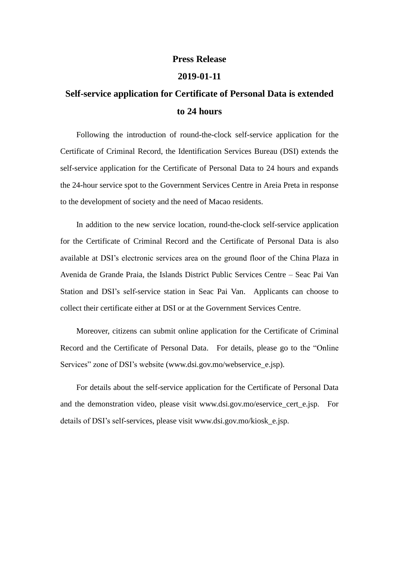## **Press Release**

## **2019-01-11**

## **Self-service application for Certificate of Personal Data is extended to 24 hours**

Following the introduction of round-the-clock self-service application for the Certificate of Criminal Record, the Identification Services Bureau (DSI) extends the self-service application for the Certificate of Personal Data to 24 hours and expands the 24-hour service spot to the Government Services Centre in Areia Preta in response to the development of society and the need of Macao residents.

In addition to the new service location, round-the-clock self-service application for the Certificate of Criminal Record and the Certificate of Personal Data is also available at DSI's electronic services area on the ground floor of the China Plaza in Avenida de Grande Praia, the Islands District Public Services Centre – Seac Pai Van Station and DSI's self-service station in Seac Pai Van. Applicants can choose to collect their certificate either at DSI or at the Government Services Centre.

Moreover, citizens can submit online application for the Certificate of Criminal Record and the Certificate of Personal Data. For details, please go to the "Online Services" zone of DSI's website (www.dsi.gov.mo/webservice\_e.jsp).

For details about the self-service application for the Certificate of Personal Data and the demonstration video, please visit www.dsi.gov.mo/eservice\_cert\_e.jsp. For details of DSI's self-services, please visit www.dsi.gov.mo/kiosk\_e.jsp.